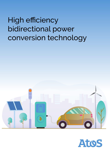# High efficiency bidirectional power conversion technology



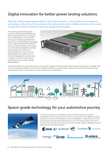## **Digital innovation for better power testing solutions**

With the shift towards battery electric and hybrid vehicles, cost and time-to-market are particularly critical for all companies in the automotive and e-mobility industry, while every component must be tested to optimise quality and reliability.

Atos delivers groundbreaking power conversion and testing technologies that fit the operational and accuracy needs of the e-mobility industry. To meet rapidly evolving and challenging development targets, Atos is using the latest technologies such as GaN and SiC MosFET for efficient power conversion topologies. This ensures very high switching frequencies and highspeed control loop reaction times. Extremely light and compact, the Atos testing solutions can include up to 20 kW and 16 independent channels inside a single 19" 2HU device, which can be reconfigured on the fly with a softwaredefined platform.



Operational efficiency on the factory floor is ensured with a digital architecture that protects against cyberattacks, scalability with series and parallel capabilities, and standard-compliant interfaces (communication, software and electric). And native energysaving features allow manufacturers to achieve their environmental targets



### **Space-grade technology for your automotive journey**



The space industry has a pioneering history of advanced power testing for ultraefficiency and endurance. Since 20 years, Atos provides high-efficiency testing solutions for spacecraft, including for mega constellations. Long experience in the space industry and advanced approaches to power testing are highly relevant for the automotive industry. Atos space-proven technology is highly adaptable to power testing in the automotive industry.

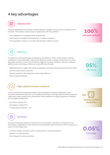## **4 key advantages**



#### **Digitalization**

Products adaptations that typically require hardware changes are now done via software, even remotely. This enables a broad range of applications with one platform.

- Easy adaptation to changing testing requirements
- New features are added instantaneously via software upgrades
- The equipment is always up-to-date with the latest software version



#### **Efficiency**

The efficiency of the technology contributes to the efficiency of the overall solution and thus contributes to decarbonization. High power efficiency results in energy saving due to low heat dissipation and thus in lower CO2 emissions. Digital technology solutions make Atos' softwaredefined power technology achieve up to 95% efficiency through:

- Bidirectional power supply with energy recuperation sent back to the grid (source and sink mode)
- Dynamic power factor correction
- Special magnetics with integrated coils for high efficiency
- Water cooling possibility



#### **High-speed transient response**

A quick response during testing enables faster throughput and future applications. Atos' innovative architecture allows for an incredible performance with high speed transient response, using multi-mega sample ADCs and tailored control methods, for highly responsive conditions such as battery testing with:

- SiC (silicon carbide FET)
- GaN (gallium nitride FET)
- Timing control resolution 1μs

## **Accuracy**

The level of precision required is not the same for all projects. Therefore, the precision of our technology is adaptable to your needs. We accommodate control scenarios with an accuracy of 0.05% on a full range scale.

- Constant voltage, constant current, constant power, constant resistance
- Specific U/I characteristics
- Fast change of control parameters



**0.05%**

**full range**

**95%**

**Efficiency**

| 100%             |
|------------------|
| software defined |